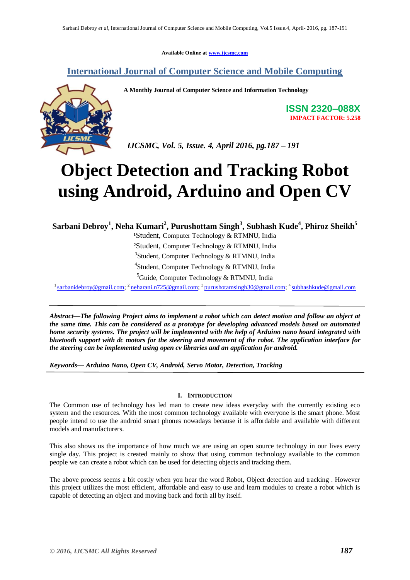**Available Online at www.ijcsmc.com**

## **International Journal of Computer Science and Mobile Computing**



 **A Monthly Journal of Computer Science and Information Technology**

**ISSN 2320–088X IMPACT FACTOR: 5.258**

 *IJCSMC, Vol. 5, Issue. 4, April 2016, pg.187 – 191*

# **Object Detection and Tracking Robot using Android, Arduino and Open CV**

**Sarbani Debroy<sup>1</sup> , Neha Kumari<sup>2</sup> , Purushottam Singh<sup>3</sup> , Subhash Kude<sup>4</sup> , Phiroz Sheikh<sup>5</sup>**

<sup>1</sup>Student, Computer Technology & RTMNU, India

²Student, Computer Technology & RTMNU, India

<sup>3</sup>Student, Computer Technology & RTMNU, India

4 Student, Computer Technology & RTMNU, India

 ${}^{5}$ Guide, Computer Technology & RTMNU, India

<sup>1</sup> sarbanidebroy@gmail.com; <sup>2</sup> neharani.n725@gmail.com; <sup>3</sup> purushotamsingh30@gmail.com; <sup>4</sup> subhashkude@gmail.com

*Abstract—The following Project aims to implement a robot which can detect motion and follow an object at the same time. This can be considered as a prototype for developing advanced models based on automated home security systems. The project will be implemented with the help of Arduino nano board integrated with bluetooth support with dc motors for the steering and movement of the robot. The application interface for the steering can be implemented using open cv libraries and an application for android.* 

*Keywords— Arduino Nano, Open CV, Android, Servo Motor, Detection, Tracking*

### **I. INTRODUCTION**

The Common use of technology has led man to create new ideas everyday with the currently existing eco system and the resources. With the most common technology available with everyone is the smart phone. Most people intend to use the android smart phones nowadays because it is affordable and available with different models and manufacturers.

This also shows us the importance of how much we are using an open source technology in our lives every single day. This project is created mainly to show that using common technology available to the common people we can create a robot which can be used for detecting objects and tracking them.

The above process seems a bit costly when you hear the word Robot, Object detection and tracking . However this project utilizes the most efficient, affordable and easy to use and learn modules to create a robot which is capable of detecting an object and moving back and forth all by itself.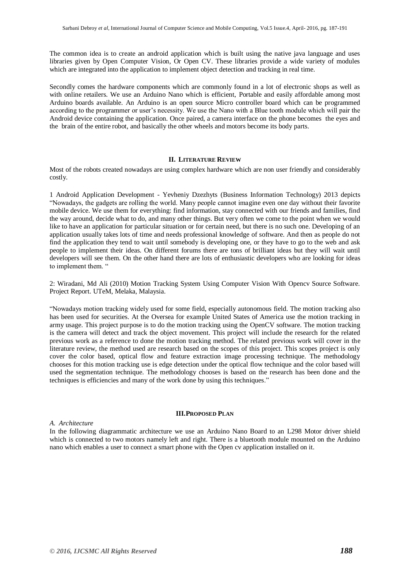The common idea is to create an android application which is built using the native java language and uses libraries given by Open Computer Vision, Or Open CV. These libraries provide a wide variety of modules which are integrated into the application to implement object detection and tracking in real time.

Secondly comes the hardware components which are commonly found in a lot of electronic shops as well as with online retailers. We use an Arduino Nano which is efficient, Portable and easily affordable among most Arduino boards available. An Arduino is an open source Micro controller board which can be programmed according to the programmer or user's necessity. We use the Nano with a Blue tooth module which will pair the Android device containing the application. Once paired, a camera interface on the phone becomes the eyes and the brain of the entire robot, and basically the other wheels and motors become its body parts.

#### **II. LITERATURE REVIEW**

Most of the robots created nowadays are using complex hardware which are non user friendly and considerably costly.

1 Android Application Development - Yevheniy Dzezhyts (Business Information Technology) 2013 depicts "Nowadays, the gadgets are rolling the world. Many people cannot imagine even one day without their favorite mobile device. We use them for everything: find information, stay connected with our friends and families, find the way around, decide what to do, and many other things. But very often we come to the point when we would like to have an application for particular situation or for certain need, but there is no such one. Developing of an application usually takes lots of time and needs professional knowledge of software. And then as people do not find the application they tend to wait until somebody is developing one, or they have to go to the web and ask people to implement their ideas. On different forums there are tons of brilliant ideas but they will wait until developers will see them. On the other hand there are lots of enthusiastic developers who are looking for ideas to implement them. "

2: Wiradani, Md Ali (2010) Motion Tracking System Using Computer Vision With Opencv Source Software. Project Report. UTeM, Melaka, Malaysia.

"Nowadays motion tracking widely used for some field, especially autonomous field. The motion tracking also has been used for securities. At the Oversea for example United States of America use the motion tracking in army usage. This project purpose is to do the motion tracking using the OpenCV software. The motion tracking is the camera will detect and track the object movement. This project will include the research for the related previous work as a reference to done the motion tracking method. The related previous work will cover in the literature review, the method used are research based on the scopes of this project. This scopes project is only cover the color based, optical flow and feature extraction image processing technique. The methodology chooses for this motion tracking use is edge detection under the optical flow technique and the color based will used the segmentation technique. The methodology chooses is based on the research has been done and the techniques is efficiencies and many of the work done by using this techniques."

#### **III.PROPOSED PLAN**

#### *A. Architecture*

In the following diagrammatic architecture we use an Arduino Nano Board to an L298 Motor driver shield which is connected to two motors namely left and right. There is a bluetooth module mounted on the Arduino nano which enables a user to connect a smart phone with the Open cv application installed on it.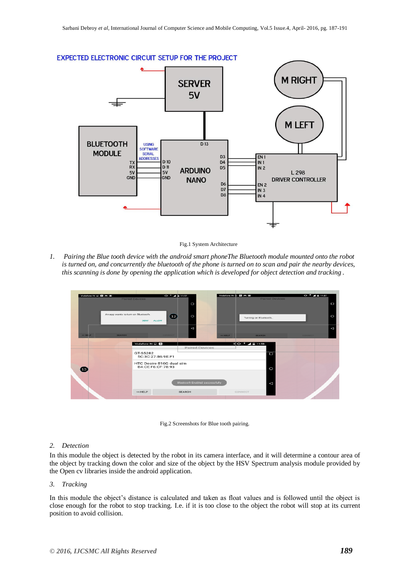



Fig.1 System Architecture

*1. Pairing the Blue tooth device with the android smart phoneThe Bluetooth module mounted onto the robot is turned on, and concurrently the bluetooth of the phone is turned on to scan and pair the nearby devices, this scanning is done by opening the application which is developed for object detection and tracking .*

| Vodafone IN E <b>Q M</b> E      | <b>Paired Devices</b>                                                        | $-0.5$ $-4$ $+11:57$<br>□             | Vodafone IN # 3 4 M E | <b>Paired Devices</b>                                   | $+2.57$<br>$\Box$   |  |
|---------------------------------|------------------------------------------------------------------------------|---------------------------------------|-----------------------|---------------------------------------------------------|---------------------|--|
|                                 | An app wants to turn on Bluetooth.<br><b>DENY</b><br><b>ALLOW</b>            | $\mathbf{r}$<br>$\circ$               |                       | Turning on Bluetooth                                    | $\circ$             |  |
| <b>KK HELP</b><br><b>SEARCH</b> |                                                                              | ◁<br><b>CONNECT</b>                   | << HELP               | <b>SEARCH</b>                                           | △<br><b>CONNECT</b> |  |
|                                 | Vodafone IN E Q<br>GT-S5282<br>5C:3C:27:B6:9E:F1<br>HTC Desire 816G dual sim | <b>Paired Devices</b>                 |                       | $\sqrt[3]{10^{-5} + 4}$ = 11:58<br>$\overline{\square}$ |                     |  |
| 13                              | B4:CE:F6:CF:78:93                                                            | <b>Bluetooth Enabled successfully</b> |                       | $\circ$<br>$\triangleleft$                              |                     |  |
|                                 | << HELP                                                                      | <b>SEARCH</b>                         | CONNECT               |                                                         |                     |  |

Fig.2 Screenshots for Blue tooth pairing.

#### *2. Detection*

In this module the object is detected by the robot in its camera interface, and it will determine a contour area of the object by tracking down the color and size of the object by the HSV Spectrum analysis module provided by the Open cv libraries inside the android application.

#### *3. Tracking*

In this module the object's distance is calculated and taken as float values and is followed until the object is close enough for the robot to stop tracking. I.e. if it is too close to the object the robot will stop at its current position to avoid collision.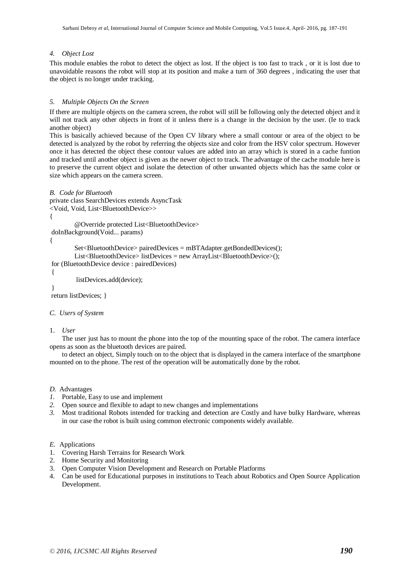#### *4. Object Lost*

This module enables the robot to detect the object as lost. If the object is too fast to track , or it is lost due to unavoidable reasons the robot will stop at its position and make a turn of 360 degrees , indicating the user that the object is no longer under tracking.

#### *5. Multiple Objects On the Screen*

If there are multiple objects on the camera screen, the robot will still be following only the detected object and it will not track any other objects in front of it unless there is a change in the decision by the user. (Ie to track another object)

This is basically achieved because of the Open CV library where a small contour or area of the object to be detected is analyzed by the robot by referring the objects size and color from the HSV color spectrum. However once it has detected the object these contour values are added into an array which is stored in a cache funtion and tracked until another object is given as the newer object to track. The advantage of the cache module here is to preserve the current object and isolate the detection of other unwanted objects which has the same color or size which appears on the camera screen.

```
B. Code for Bluetooth
```
private class SearchDevices extends AsyncTask

<Void, Void, List<BluetoothDevice>>

 $\{$ 

@Override protected List<BluetoothDevice>

doInBackground(Void... params)

{

```
Set<BluetoothDevice> pairedDevices = mBTAdapter.getBondedDevices();
List<BluetoothDevice> listDevices = new ArrayList<BluetoothDevice>();
```
for (BluetoothDevice device : pairedDevices)

```
{
```
listDevices.add(device);

}

return listDevices; }

#### *C. Users of System*

#### 1. *User*

The user just has to mount the phone into the top of the mounting space of the robot. The camera interface opens as soon as the bluetooth devices are paired.

to detect an object, Simply touch on to the object that is displayed in the camera interface of the smartphone mounted on to the phone. The rest of the operation will be automatically done by the robot.

*D.* Advantages

- *1.* Portable, Easy to use and implement
- *2.* Open source and flexible to adapt to new changes and implementations
- *3.* Most traditional Robots intended for tracking and detection are Costly and have bulky Hardware, whereas in our case the robot is built using common electronic components widely available.

#### *E.* Applications

- 1. Covering Harsh Terrains for Research Work
- 2. Home Security and Monitoring
- 3. Open Computer Vision Development and Research on Portable Platforms
- 4. Can be used for Educational purposes in institutions to Teach about Robotics and Open Source Application Development.